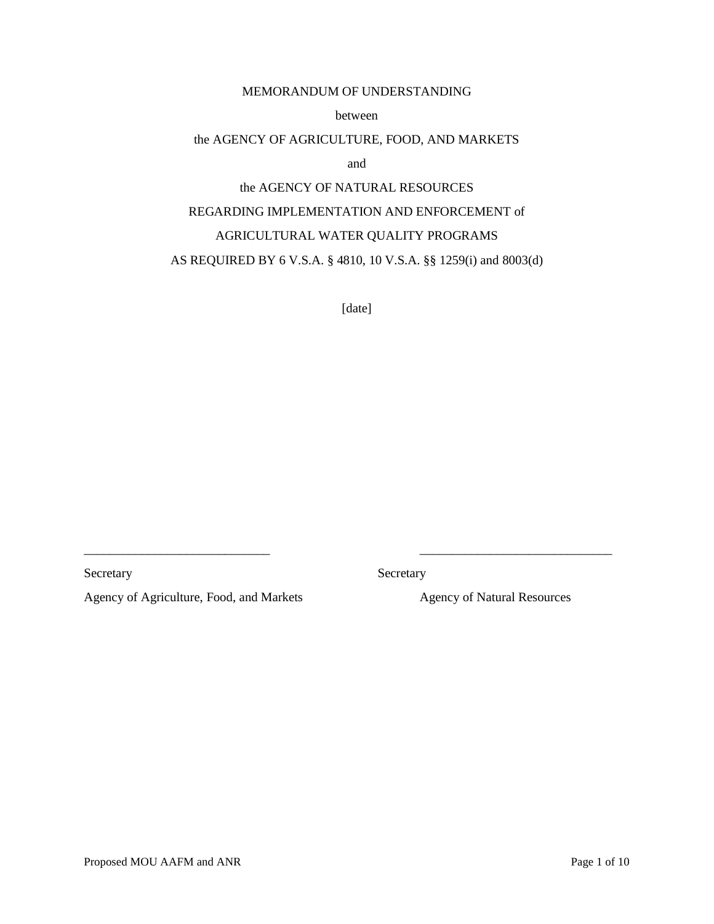## MEMORANDUM OF UNDERSTANDING

between

#### the AGENCY OF AGRICULTURE, FOOD, AND MARKETS

and

# the AGENCY OF NATURAL RESOURCES

## REGARDING IMPLEMENTATION AND ENFORCEMENT of

## AGRICULTURAL WATER QUALITY PROGRAMS

# AS REQUIRED BY 6 V.S.A. § 4810, 10 V.S.A. §§ 1259(i) and 8003(d)

[date]

Secretary Secretary Secretary

\_\_\_\_\_\_\_\_\_\_\_\_\_\_\_\_\_\_\_\_\_\_\_\_\_\_\_\_\_ \_\_\_\_\_\_\_\_\_\_\_\_\_\_\_\_\_\_\_\_\_\_\_\_\_\_\_\_\_\_

Agency of Agriculture, Food, and Markets Agency of Natural Resources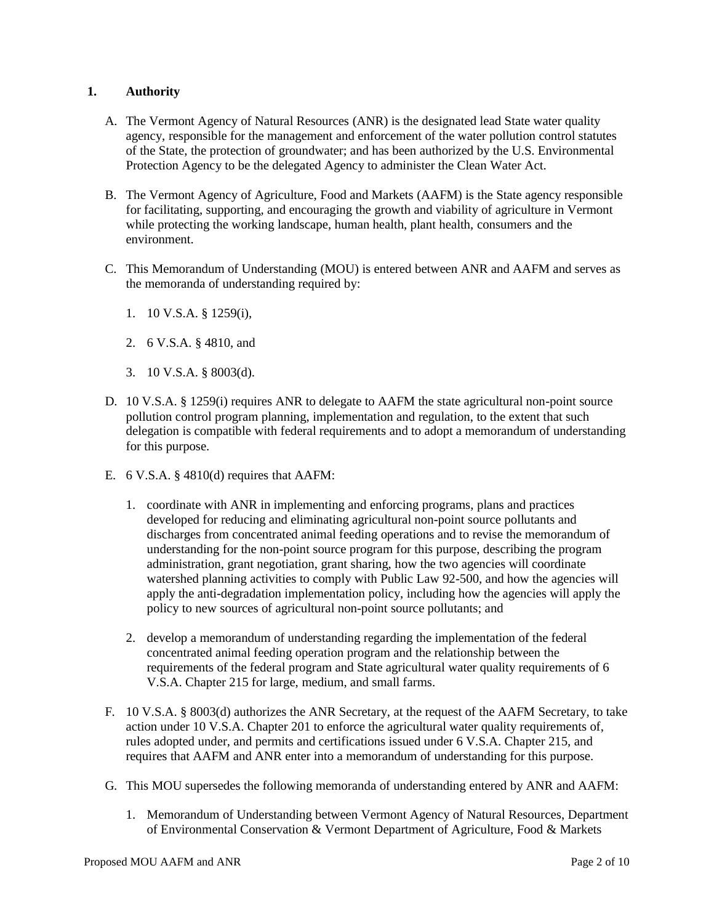# **1. Authority**

- A. The Vermont Agency of Natural Resources (ANR) is the designated lead State water quality agency, responsible for the management and enforcement of the water pollution control statutes of the State, the protection of groundwater; and has been authorized by the U.S. Environmental Protection Agency to be the delegated Agency to administer the Clean Water Act.
- B. The Vermont Agency of Agriculture, Food and Markets (AAFM) is the State agency responsible for facilitating, supporting, and encouraging the growth and viability of agriculture in Vermont while protecting the working landscape, human health, plant health, consumers and the environment.
- C. This Memorandum of Understanding (MOU) is entered between ANR and AAFM and serves as the memoranda of understanding required by:
	- 1. 10 V.S.A. § 1259(i),
	- 2. 6 V.S.A. § 4810, and
	- 3. 10 V.S.A. § 8003(d).
- D. 10 V.S.A. § 1259(i) requires ANR to delegate to AAFM the state agricultural non-point source pollution control program planning, implementation and regulation, to the extent that such delegation is compatible with federal requirements and to adopt a memorandum of understanding for this purpose.
- E. 6 V.S.A. § 4810(d) requires that AAFM:
	- 1. coordinate with ANR in implementing and enforcing programs, plans and practices developed for reducing and eliminating agricultural non-point source pollutants and discharges from concentrated animal feeding operations and to revise the memorandum of understanding for the non-point source program for this purpose, describing the program administration, grant negotiation, grant sharing, how the two agencies will coordinate watershed planning activities to comply with Public Law 92-500, and how the agencies will apply the anti-degradation implementation policy, including how the agencies will apply the policy to new sources of agricultural non-point source pollutants; and
	- 2. develop a memorandum of understanding regarding the implementation of the federal concentrated animal feeding operation program and the relationship between the requirements of the federal program and State agricultural water quality requirements of 6 V.S.A. Chapter 215 for large, medium, and small farms.
- F. 10 V.S.A. § 8003(d) authorizes the ANR Secretary, at the request of the AAFM Secretary, to take action under 10 V.S.A. Chapter 201 to enforce the agricultural water quality requirements of, rules adopted under, and permits and certifications issued under 6 V.S.A. Chapter 215, and requires that AAFM and ANR enter into a memorandum of understanding for this purpose.
- G. This MOU supersedes the following memoranda of understanding entered by ANR and AAFM:
	- 1. Memorandum of Understanding between Vermont Agency of Natural Resources, Department of Environmental Conservation & Vermont Department of Agriculture, Food & Markets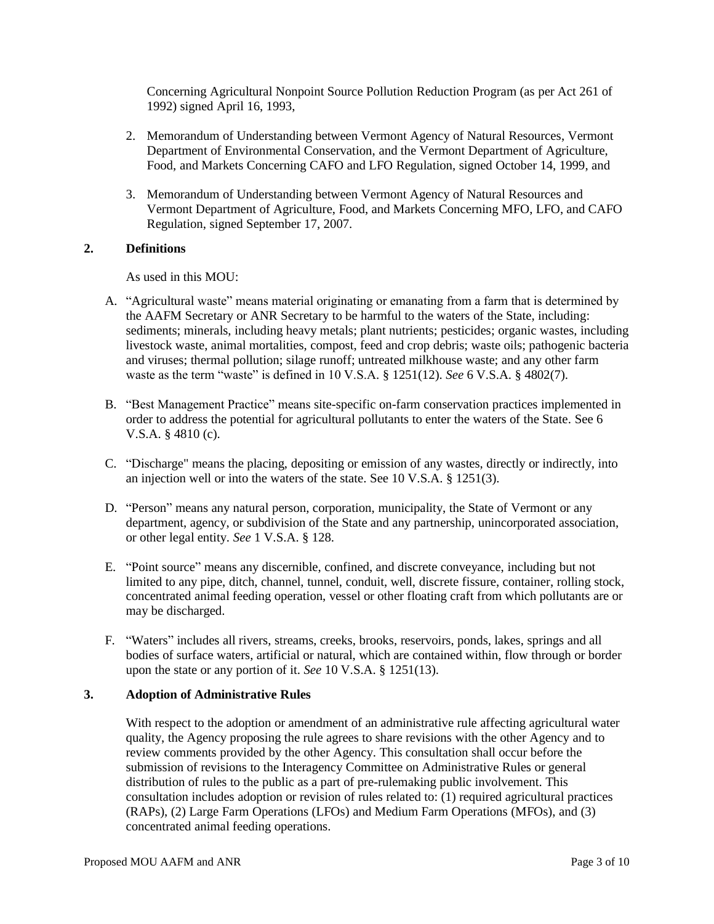Concerning Agricultural Nonpoint Source Pollution Reduction Program (as per Act 261 of 1992) signed April 16, 1993,

- 2. Memorandum of Understanding between Vermont Agency of Natural Resources, Vermont Department of Environmental Conservation, and the Vermont Department of Agriculture, Food, and Markets Concerning CAFO and LFO Regulation, signed October 14, 1999, and
- 3. Memorandum of Understanding between Vermont Agency of Natural Resources and Vermont Department of Agriculture, Food, and Markets Concerning MFO, LFO, and CAFO Regulation, signed September 17, 2007.

#### **2. Definitions**

As used in this MOU:

- A. "Agricultural waste" means material originating or emanating from a farm that is determined by the AAFM Secretary or ANR Secretary to be harmful to the waters of the State, including: sediments; minerals, including heavy metals; plant nutrients; pesticides; organic wastes, including livestock waste, animal mortalities, compost, feed and crop debris; waste oils; pathogenic bacteria and viruses; thermal pollution; silage runoff; untreated milkhouse waste; and any other farm waste as the term "waste" is defined in 10 V.S.A. § 1251(12). *See* 6 V.S.A. § 4802(7).
- B. "Best Management Practice" means site-specific on-farm conservation practices implemented in order to address the potential for agricultural pollutants to enter the waters of the State. See 6 V.S.A. § 4810 (c).
- C. "Discharge" means the placing, depositing or emission of any wastes, directly or indirectly, into an injection well or into the waters of the state. See 10 V.S.A. § 1251(3).
- D. "Person" means any natural person, corporation, municipality, the State of Vermont or any department, agency, or subdivision of the State and any partnership, unincorporated association, or other legal entity. *See* 1 V.S.A. § 128.
- E. "Point source" means any discernible, confined, and discrete conveyance, including but not limited to any pipe, ditch, channel, tunnel, conduit, well, discrete fissure, container, rolling stock, concentrated animal feeding operation, vessel or other floating craft from which pollutants are or may be discharged.
- F. "Waters" includes all rivers, streams, creeks, brooks, reservoirs, ponds, lakes, springs and all bodies of surface waters, artificial or natural, which are contained within, flow through or border upon the state or any portion of it. *See* 10 V.S.A. § 1251(13).

## **3. Adoption of Administrative Rules**

With respect to the adoption or amendment of an administrative rule affecting agricultural water quality, the Agency proposing the rule agrees to share revisions with the other Agency and to review comments provided by the other Agency. This consultation shall occur before the submission of revisions to the Interagency Committee on Administrative Rules or general distribution of rules to the public as a part of pre-rulemaking public involvement. This consultation includes adoption or revision of rules related to: (1) required agricultural practices (RAPs), (2) Large Farm Operations (LFOs) and Medium Farm Operations (MFOs), and (3) concentrated animal feeding operations.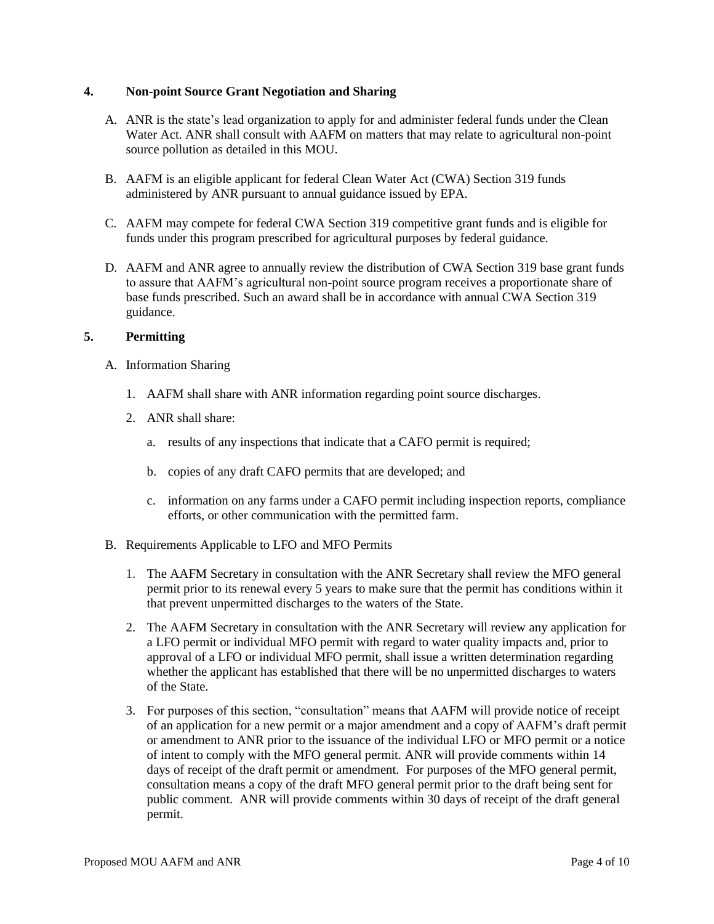#### **4. Non-point Source Grant Negotiation and Sharing**

- A. ANR is the state's lead organization to apply for and administer federal funds under the Clean Water Act. ANR shall consult with AAFM on matters that may relate to agricultural non-point source pollution as detailed in this MOU.
- B. AAFM is an eligible applicant for federal Clean Water Act (CWA) Section 319 funds administered by ANR pursuant to annual guidance issued by EPA.
- C. AAFM may compete for federal CWA Section 319 competitive grant funds and is eligible for funds under this program prescribed for agricultural purposes by federal guidance.
- D. AAFM and ANR agree to annually review the distribution of CWA Section 319 base grant funds to assure that AAFM's agricultural non-point source program receives a proportionate share of base funds prescribed. Such an award shall be in accordance with annual CWA Section 319 guidance.

## **5. Permitting**

- A. Information Sharing
	- 1. AAFM shall share with ANR information regarding point source discharges.
	- 2. ANR shall share:
		- a. results of any inspections that indicate that a CAFO permit is required;
		- b. copies of any draft CAFO permits that are developed; and
		- c. information on any farms under a CAFO permit including inspection reports, compliance efforts, or other communication with the permitted farm.
- B. Requirements Applicable to LFO and MFO Permits
	- 1. The AAFM Secretary in consultation with the ANR Secretary shall review the MFO general permit prior to its renewal every 5 years to make sure that the permit has conditions within it that prevent unpermitted discharges to the waters of the State.
	- 2. The AAFM Secretary in consultation with the ANR Secretary will review any application for a LFO permit or individual MFO permit with regard to water quality impacts and, prior to approval of a LFO or individual MFO permit, shall issue a written determination regarding whether the applicant has established that there will be no unpermitted discharges to waters of the State.
	- 3. For purposes of this section, "consultation" means that AAFM will provide notice of receipt of an application for a new permit or a major amendment and a copy of AAFM's draft permit or amendment to ANR prior to the issuance of the individual LFO or MFO permit or a notice of intent to comply with the MFO general permit. ANR will provide comments within 14 days of receipt of the draft permit or amendment. For purposes of the MFO general permit, consultation means a copy of the draft MFO general permit prior to the draft being sent for public comment. ANR will provide comments within 30 days of receipt of the draft general permit.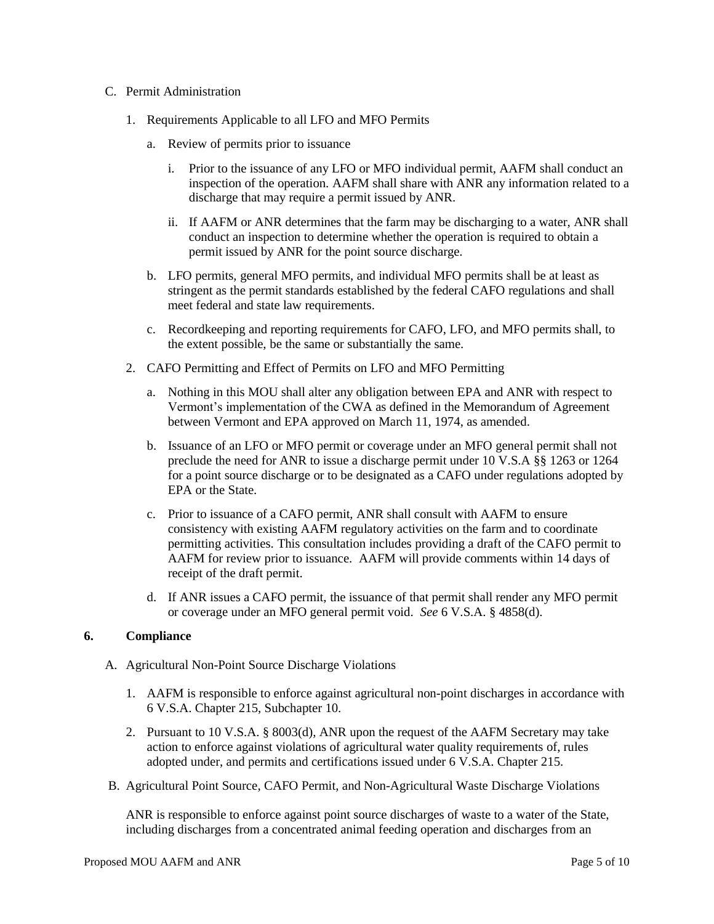#### C. Permit Administration

- 1. Requirements Applicable to all LFO and MFO Permits
	- a. Review of permits prior to issuance
		- i. Prior to the issuance of any LFO or MFO individual permit, AAFM shall conduct an inspection of the operation. AAFM shall share with ANR any information related to a discharge that may require a permit issued by ANR.
		- ii. If AAFM or ANR determines that the farm may be discharging to a water, ANR shall conduct an inspection to determine whether the operation is required to obtain a permit issued by ANR for the point source discharge.
	- b. LFO permits, general MFO permits, and individual MFO permits shall be at least as stringent as the permit standards established by the federal CAFO regulations and shall meet federal and state law requirements.
	- c. Recordkeeping and reporting requirements for CAFO, LFO, and MFO permits shall, to the extent possible, be the same or substantially the same.
- 2. CAFO Permitting and Effect of Permits on LFO and MFO Permitting
	- a. Nothing in this MOU shall alter any obligation between EPA and ANR with respect to Vermont's implementation of the CWA as defined in the Memorandum of Agreement between Vermont and EPA approved on March 11, 1974, as amended.
	- b. Issuance of an LFO or MFO permit or coverage under an MFO general permit shall not preclude the need for ANR to issue a discharge permit under 10 V.S.A §§ 1263 or 1264 for a point source discharge or to be designated as a CAFO under regulations adopted by EPA or the State.
	- c. Prior to issuance of a CAFO permit, ANR shall consult with AAFM to ensure consistency with existing AAFM regulatory activities on the farm and to coordinate permitting activities. This consultation includes providing a draft of the CAFO permit to AAFM for review prior to issuance. AAFM will provide comments within 14 days of receipt of the draft permit.
	- d. If ANR issues a CAFO permit, the issuance of that permit shall render any MFO permit or coverage under an MFO general permit void. *See* 6 V.S.A. § 4858(d).

## **6. Compliance**

- A. Agricultural Non-Point Source Discharge Violations
	- 1. AAFM is responsible to enforce against agricultural non-point discharges in accordance with 6 V.S.A. Chapter 215, Subchapter 10.
	- 2. Pursuant to 10 V.S.A. § 8003(d), ANR upon the request of the AAFM Secretary may take action to enforce against violations of agricultural water quality requirements of, rules adopted under, and permits and certifications issued under 6 V.S.A. Chapter 215.
- B. Agricultural Point Source, CAFO Permit, and Non-Agricultural Waste Discharge Violations

ANR is responsible to enforce against point source discharges of waste to a water of the State, including discharges from a concentrated animal feeding operation and discharges from an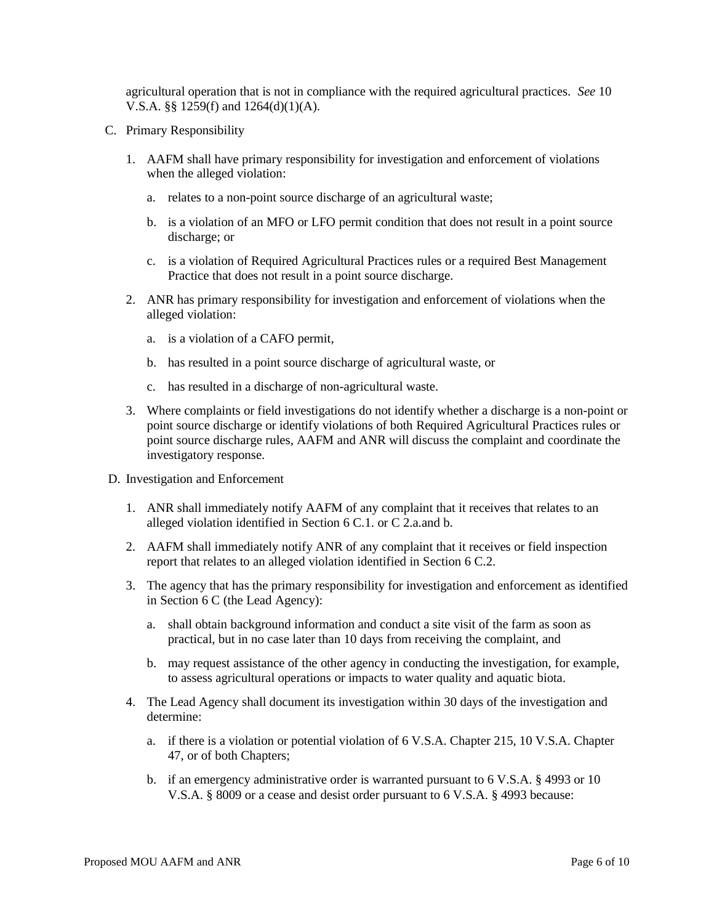agricultural operation that is not in compliance with the required agricultural practices. *See* 10 V.S.A. §§ 1259(f) and 1264(d)(1)(A).

- C. Primary Responsibility
	- 1. AAFM shall have primary responsibility for investigation and enforcement of violations when the alleged violation:
		- a. relates to a non-point source discharge of an agricultural waste;
		- b. is a violation of an MFO or LFO permit condition that does not result in a point source discharge; or
		- c. is a violation of Required Agricultural Practices rules or a required Best Management Practice that does not result in a point source discharge.
	- 2. ANR has primary responsibility for investigation and enforcement of violations when the alleged violation:
		- a. is a violation of a CAFO permit,
		- b. has resulted in a point source discharge of agricultural waste, or
		- c. has resulted in a discharge of non-agricultural waste.
	- 3. Where complaints or field investigations do not identify whether a discharge is a non-point or point source discharge or identify violations of both Required Agricultural Practices rules or point source discharge rules, AAFM and ANR will discuss the complaint and coordinate the investigatory response.
- D. Investigation and Enforcement
	- 1. ANR shall immediately notify AAFM of any complaint that it receives that relates to an alleged violation identified in Section 6 C.1. or C 2.a.and b.
	- 2. AAFM shall immediately notify ANR of any complaint that it receives or field inspection report that relates to an alleged violation identified in Section 6 C.2.
	- 3. The agency that has the primary responsibility for investigation and enforcement as identified in Section 6 C (the Lead Agency):
		- a. shall obtain background information and conduct a site visit of the farm as soon as practical, but in no case later than 10 days from receiving the complaint, and
		- b. may request assistance of the other agency in conducting the investigation, for example, to assess agricultural operations or impacts to water quality and aquatic biota.
	- 4. The Lead Agency shall document its investigation within 30 days of the investigation and determine:
		- a. if there is a violation or potential violation of 6 V.S.A. Chapter 215, 10 V.S.A. Chapter 47, or of both Chapters;
		- b. if an emergency administrative order is warranted pursuant to 6 V.S.A. § 4993 or 10 V.S.A. § 8009 or a cease and desist order pursuant to 6 V.S.A. § 4993 because: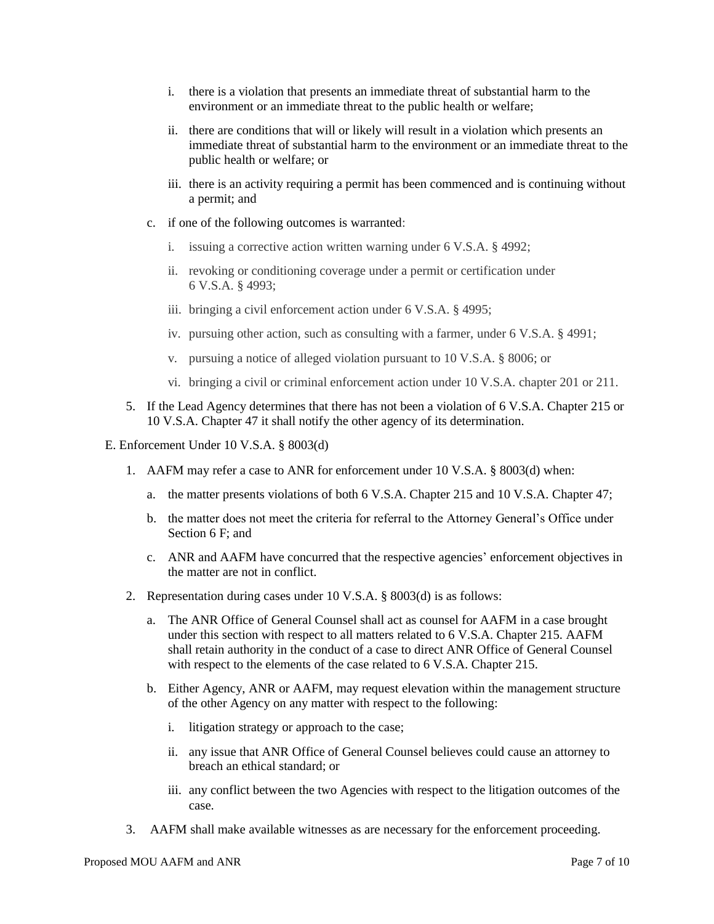- i. there is a violation that presents an immediate threat of substantial harm to the environment or an immediate threat to the public health or welfare;
- ii. there are conditions that will or likely will result in a violation which presents an immediate threat of substantial harm to the environment or an immediate threat to the public health or welfare; or
- iii. there is an activity requiring a permit has been commenced and is continuing without a permit; and
- c. if one of the following outcomes is warranted:
	- i. issuing a corrective action written warning under 6 V.S.A. § 4992;
	- ii. revoking or conditioning coverage under a permit or certification under 6 V.S.A. § 4993;
	- iii. bringing a civil enforcement action under 6 V.S.A. § 4995;
	- iv. pursuing other action, such as consulting with a farmer, under 6 V.S.A. § 4991;
	- v. pursuing a notice of alleged violation pursuant to 10 V.S.A. § 8006; or
	- vi. bringing a civil or criminal enforcement action under 10 V.S.A. chapter 201 or 211.
- 5. If the Lead Agency determines that there has not been a violation of 6 V.S.A. Chapter 215 or 10 V.S.A. Chapter 47 it shall notify the other agency of its determination.
- E. Enforcement Under 10 V.S.A. § 8003(d)
	- 1. AAFM may refer a case to ANR for enforcement under 10 V.S.A. § 8003(d) when:
		- a. the matter presents violations of both 6 V.S.A. Chapter 215 and 10 V.S.A. Chapter 47;
		- b. the matter does not meet the criteria for referral to the Attorney General's Office under Section 6 F; and
		- c. ANR and AAFM have concurred that the respective agencies' enforcement objectives in the matter are not in conflict.
	- 2. Representation during cases under 10 V.S.A. § 8003(d) is as follows:
		- a. The ANR Office of General Counsel shall act as counsel for AAFM in a case brought under this section with respect to all matters related to 6 V.S.A. Chapter 215. AAFM shall retain authority in the conduct of a case to direct ANR Office of General Counsel with respect to the elements of the case related to 6 V.S.A. Chapter 215.
		- b. Either Agency, ANR or AAFM, may request elevation within the management structure of the other Agency on any matter with respect to the following:
			- i. litigation strategy or approach to the case;
			- ii. any issue that ANR Office of General Counsel believes could cause an attorney to breach an ethical standard; or
			- iii. any conflict between the two Agencies with respect to the litigation outcomes of the case.
	- 3. AAFM shall make available witnesses as are necessary for the enforcement proceeding.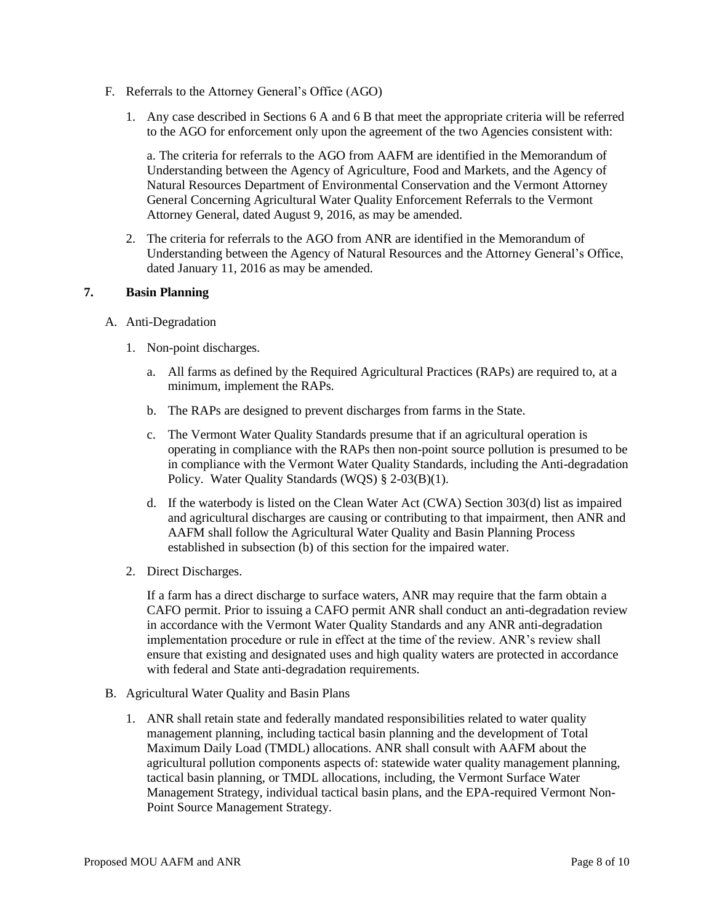- F. Referrals to the Attorney General's Office (AGO)
	- 1. Any case described in Sections 6 A and 6 B that meet the appropriate criteria will be referred to the AGO for enforcement only upon the agreement of the two Agencies consistent with:

a. The criteria for referrals to the AGO from AAFM are identified in the Memorandum of Understanding between the Agency of Agriculture, Food and Markets, and the Agency of Natural Resources Department of Environmental Conservation and the Vermont Attorney General Concerning Agricultural Water Quality Enforcement Referrals to the Vermont Attorney General, dated August 9, 2016, as may be amended.

2. The criteria for referrals to the AGO from ANR are identified in the Memorandum of Understanding between the Agency of Natural Resources and the Attorney General's Office, dated January 11, 2016 as may be amended.

## **7. Basin Planning**

- A. Anti-Degradation
	- 1. Non-point discharges.
		- a. All farms as defined by the Required Agricultural Practices (RAPs) are required to, at a minimum, implement the RAPs.
		- b. The RAPs are designed to prevent discharges from farms in the State.
		- c. The Vermont Water Quality Standards presume that if an agricultural operation is operating in compliance with the RAPs then non-point source pollution is presumed to be in compliance with the Vermont Water Quality Standards, including the Anti-degradation Policy. Water Quality Standards (WQS) § 2-03(B)(1).
		- d. If the waterbody is listed on the Clean Water Act (CWA) Section 303(d) list as impaired and agricultural discharges are causing or contributing to that impairment, then ANR and AAFM shall follow the Agricultural Water Quality and Basin Planning Process established in subsection (b) of this section for the impaired water.
	- 2. Direct Discharges.

If a farm has a direct discharge to surface waters, ANR may require that the farm obtain a CAFO permit. Prior to issuing a CAFO permit ANR shall conduct an anti-degradation review in accordance with the Vermont Water Quality Standards and any ANR anti-degradation implementation procedure or rule in effect at the time of the review. ANR's review shall ensure that existing and designated uses and high quality waters are protected in accordance with federal and State anti-degradation requirements.

- B. Agricultural Water Quality and Basin Plans
	- 1. ANR shall retain state and federally mandated responsibilities related to water quality management planning, including tactical basin planning and the development of Total Maximum Daily Load (TMDL) allocations. ANR shall consult with AAFM about the agricultural pollution components aspects of: statewide water quality management planning, tactical basin planning, or TMDL allocations, including, the Vermont Surface Water Management Strategy, individual tactical basin plans, and the EPA-required Vermont Non-Point Source Management Strategy.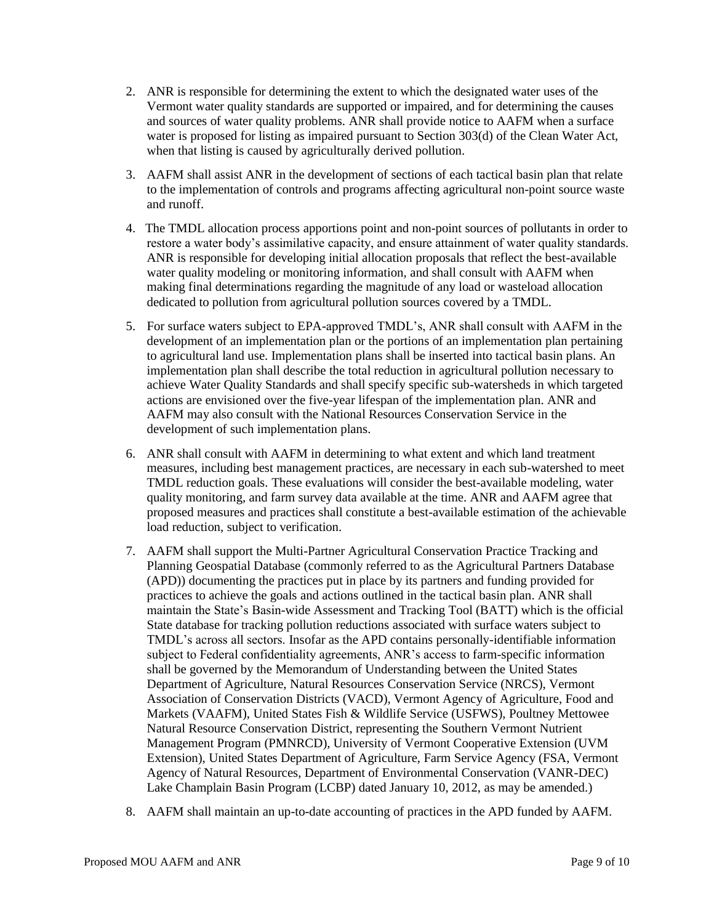- 2. ANR is responsible for determining the extent to which the designated water uses of the Vermont water quality standards are supported or impaired, and for determining the causes and sources of water quality problems. ANR shall provide notice to AAFM when a surface water is proposed for listing as impaired pursuant to Section 303(d) of the Clean Water Act, when that listing is caused by agriculturally derived pollution.
- 3. AAFM shall assist ANR in the development of sections of each tactical basin plan that relate to the implementation of controls and programs affecting agricultural non-point source waste and runoff.
- 4. The TMDL allocation process apportions point and non-point sources of pollutants in order to restore a water body's assimilative capacity, and ensure attainment of water quality standards. ANR is responsible for developing initial allocation proposals that reflect the best-available water quality modeling or monitoring information, and shall consult with AAFM when making final determinations regarding the magnitude of any load or wasteload allocation dedicated to pollution from agricultural pollution sources covered by a TMDL.
- 5. For surface waters subject to EPA-approved TMDL's, ANR shall consult with AAFM in the development of an implementation plan or the portions of an implementation plan pertaining to agricultural land use. Implementation plans shall be inserted into tactical basin plans. An implementation plan shall describe the total reduction in agricultural pollution necessary to achieve Water Quality Standards and shall specify specific sub-watersheds in which targeted actions are envisioned over the five-year lifespan of the implementation plan. ANR and AAFM may also consult with the National Resources Conservation Service in the development of such implementation plans.
- 6. ANR shall consult with AAFM in determining to what extent and which land treatment measures, including best management practices, are necessary in each sub-watershed to meet TMDL reduction goals. These evaluations will consider the best-available modeling, water quality monitoring, and farm survey data available at the time. ANR and AAFM agree that proposed measures and practices shall constitute a best-available estimation of the achievable load reduction, subject to verification.
- 7. AAFM shall support the Multi-Partner Agricultural Conservation Practice Tracking and Planning Geospatial Database (commonly referred to as the Agricultural Partners Database (APD)) documenting the practices put in place by its partners and funding provided for practices to achieve the goals and actions outlined in the tactical basin plan. ANR shall maintain the State's Basin-wide Assessment and Tracking Tool (BATT) which is the official State database for tracking pollution reductions associated with surface waters subject to TMDL's across all sectors. Insofar as the APD contains personally-identifiable information subject to Federal confidentiality agreements, ANR's access to farm-specific information shall be governed by the Memorandum of Understanding between the United States Department of Agriculture, Natural Resources Conservation Service (NRCS), Vermont Association of Conservation Districts (VACD), Vermont Agency of Agriculture, Food and Markets (VAAFM), United States Fish & Wildlife Service (USFWS), Poultney Mettowee Natural Resource Conservation District, representing the Southern Vermont Nutrient Management Program (PMNRCD), University of Vermont Cooperative Extension (UVM Extension), United States Department of Agriculture, Farm Service Agency (FSA, Vermont Agency of Natural Resources, Department of Environmental Conservation (VANR-DEC) Lake Champlain Basin Program (LCBP) dated January 10, 2012, as may be amended.)
- 8. AAFM shall maintain an up-to-date accounting of practices in the APD funded by AAFM.